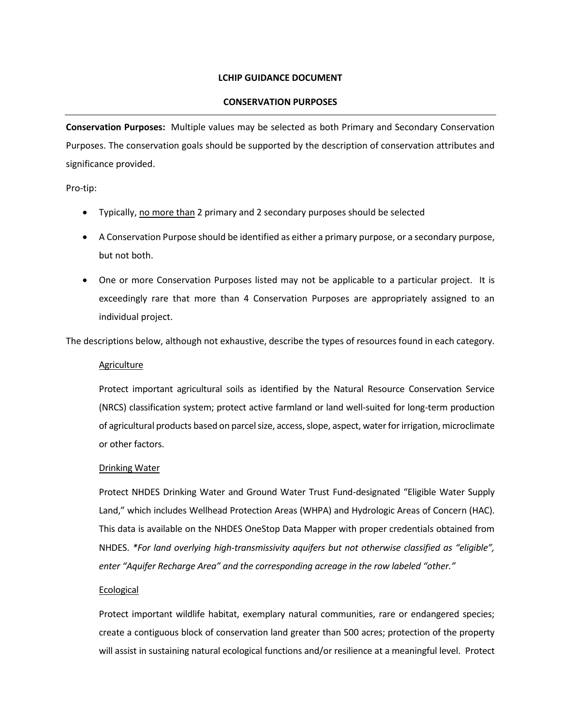# **LCHIP GUIDANCE DOCUMENT**

## **CONSERVATION PURPOSES**

**Conservation Purposes:** Multiple values may be selected as both Primary and Secondary Conservation Purposes. The conservation goals should be supported by the description of conservation attributes and significance provided.

Pro-tip:

- Typically, no more than 2 primary and 2 secondary purposes should be selected
- A Conservation Purpose should be identified as either a primary purpose, or a secondary purpose, but not both.
- One or more Conservation Purposes listed may not be applicable to a particular project. It is exceedingly rare that more than 4 Conservation Purposes are appropriately assigned to an individual project.

The descriptions below, although not exhaustive, describe the types of resources found in each category.

# Agriculture

Protect important agricultural soils as identified by the Natural Resource Conservation Service (NRCS) classification system; protect active farmland or land well-suited for long-term production of agricultural products based on parcel size, access, slope, aspect, water for irrigation, microclimate or other factors.

#### Drinking Water

Protect NHDES Drinking Water and Ground Water Trust Fund-designated "Eligible Water Supply Land," which includes Wellhead Protection Areas (WHPA) and Hydrologic Areas of Concern (HAC). This data is available on the NHDES OneStop Data Mapper with proper credentials obtained from NHDES. *\*For land overlying high-transmissivity aquifers but not otherwise classified as "eligible", enter "Aquifer Recharge Area" and the corresponding acreage in the row labeled "other."*

#### **Ecological**

Protect important wildlife habitat, exemplary natural communities, rare or endangered species; create a contiguous block of conservation land greater than 500 acres; protection of the property will assist in sustaining natural ecological functions and/or resilience at a meaningful level. Protect